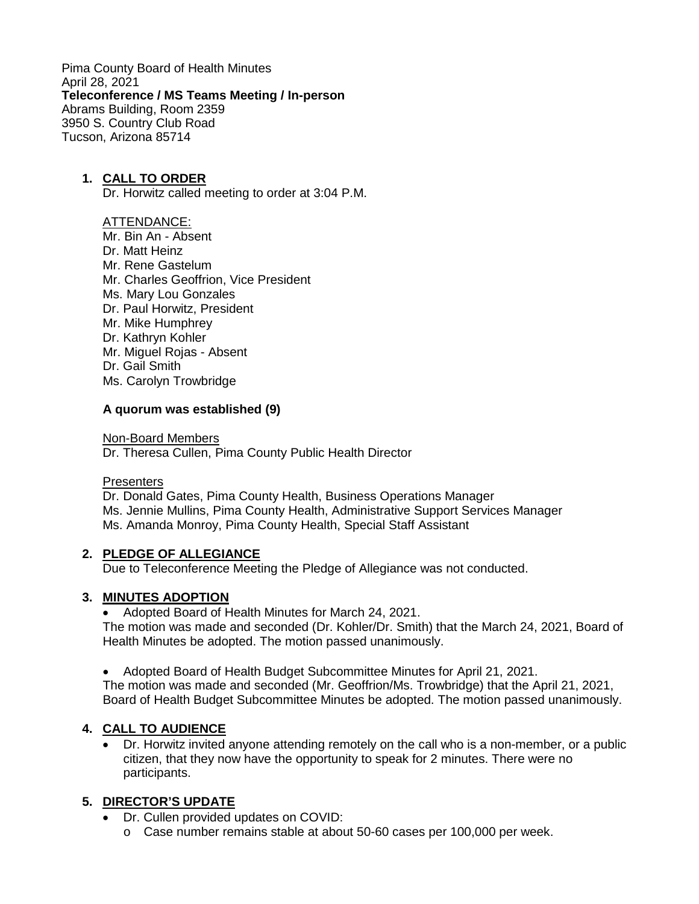Pima County Board of Health Minutes April 28, 2021 **Teleconference / MS Teams Meeting / In-person** Abrams Building, Room 2359 3950 S. Country Club Road Tucson, Arizona 85714

### **1. CALL TO ORDER**

Dr. Horwitz called meeting to order at 3:04 P.M.

#### ATTENDANCE:

- Mr. Bin An Absent
- Dr. Matt Heinz
- Mr. Rene Gastelum
- Mr. Charles Geoffrion, Vice President
- Ms. Mary Lou Gonzales
- Dr. Paul Horwitz, President
- Mr. Mike Humphrey
- Dr. Kathryn Kohler
- Mr. Miguel Rojas Absent
- Dr. Gail Smith
- Ms. Carolyn Trowbridge

### **A quorum was established (9)**

Non-Board Members

Dr. Theresa Cullen, Pima County Public Health Director

#### **Presenters**

Dr. Donald Gates, Pima County Health, Business Operations Manager Ms. Jennie Mullins, Pima County Health, Administrative Support Services Manager Ms. Amanda Monroy, Pima County Health, Special Staff Assistant

### **2. PLEDGE OF ALLEGIANCE**

Due to Teleconference Meeting the Pledge of Allegiance was not conducted.

### **3. MINUTES ADOPTION**

• Adopted Board of Health Minutes for March 24, 2021. The motion was made and seconded (Dr. Kohler/Dr. Smith) that the March 24, 2021, Board of Health Minutes be adopted. The motion passed unanimously.

• Adopted Board of Health Budget Subcommittee Minutes for April 21, 2021.

The motion was made and seconded (Mr. Geoffrion/Ms. Trowbridge) that the April 21, 2021, Board of Health Budget Subcommittee Minutes be adopted. The motion passed unanimously.

# **4. CALL TO AUDIENCE**

• Dr. Horwitz invited anyone attending remotely on the call who is a non-member, or a public citizen, that they now have the opportunity to speak for 2 minutes. There were no participants.

### **5. DIRECTOR'S UPDATE**

- Dr. Cullen provided updates on COVID:
	- o Case number remains stable at about 50-60 cases per 100,000 per week.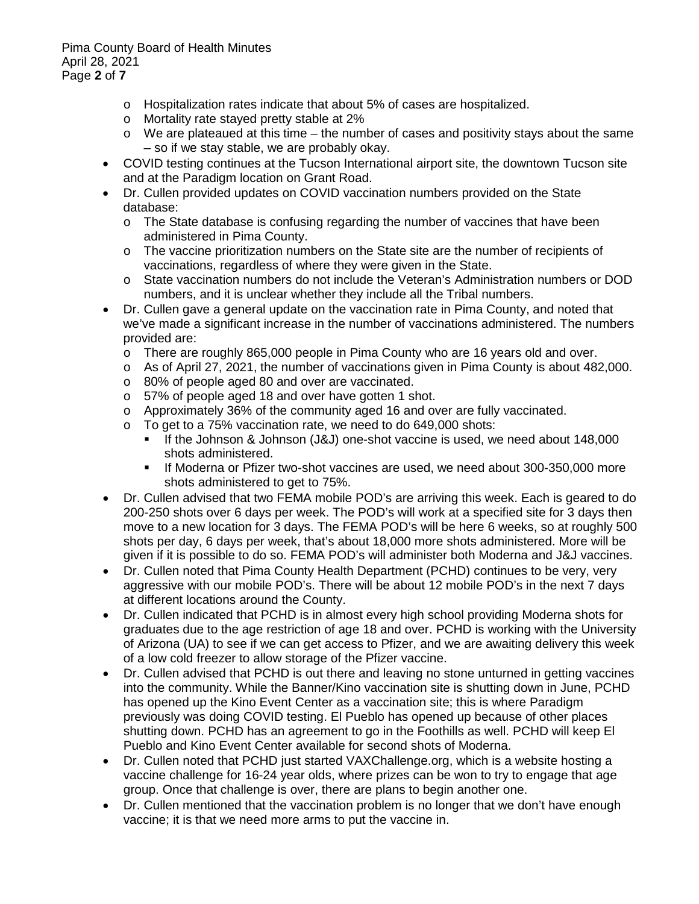Pima County Board of Health Minutes April 28, 2021 Page **2** of **7**

- o Hospitalization rates indicate that about 5% of cases are hospitalized.
- o Mortality rate stayed pretty stable at 2%
- o We are plateaued at this time the number of cases and positivity stays about the same – so if we stay stable, we are probably okay.
- COVID testing continues at the Tucson International airport site, the downtown Tucson site and at the Paradigm location on Grant Road.
- Dr. Cullen provided updates on COVID vaccination numbers provided on the State database:
	- o The State database is confusing regarding the number of vaccines that have been administered in Pima County.
	- o The vaccine prioritization numbers on the State site are the number of recipients of vaccinations, regardless of where they were given in the State.
	- o State vaccination numbers do not include the Veteran's Administration numbers or DOD numbers, and it is unclear whether they include all the Tribal numbers.
- Dr. Cullen gave a general update on the vaccination rate in Pima County, and noted that we've made a significant increase in the number of vaccinations administered. The numbers provided are:
	- o There are roughly 865,000 people in Pima County who are 16 years old and over.
	- o As of April 27, 2021, the number of vaccinations given in Pima County is about 482,000.
	- o 80% of people aged 80 and over are vaccinated.
	- o 57% of people aged 18 and over have gotten 1 shot.
	- o Approximately 36% of the community aged 16 and over are fully vaccinated.
	- $\circ$  To get to a 75% vaccination rate, we need to do 649,000 shots:<br> $\bullet$  If the Johnson & Johnson (I& I) one-shot vaccine is used we
		- If the Johnson & Johnson (J&J) one-shot vaccine is used, we need about 148,000 shots administered.
		- If Moderna or Pfizer two-shot vaccines are used, we need about 300-350,000 more shots administered to get to 75%.
- Dr. Cullen advised that two FEMA mobile POD's are arriving this week. Each is geared to do 200-250 shots over 6 days per week. The POD's will work at a specified site for 3 days then move to a new location for 3 days. The FEMA POD's will be here 6 weeks, so at roughly 500 shots per day, 6 days per week, that's about 18,000 more shots administered. More will be given if it is possible to do so. FEMA POD's will administer both Moderna and J&J vaccines.
- Dr. Cullen noted that Pima County Health Department (PCHD) continues to be very, very aggressive with our mobile POD's. There will be about 12 mobile POD's in the next 7 days at different locations around the County.
- Dr. Cullen indicated that PCHD is in almost every high school providing Moderna shots for graduates due to the age restriction of age 18 and over. PCHD is working with the University of Arizona (UA) to see if we can get access to Pfizer, and we are awaiting delivery this week of a low cold freezer to allow storage of the Pfizer vaccine.
- Dr. Cullen advised that PCHD is out there and leaving no stone unturned in getting vaccines into the community. While the Banner/Kino vaccination site is shutting down in June, PCHD has opened up the Kino Event Center as a vaccination site; this is where Paradigm previously was doing COVID testing. El Pueblo has opened up because of other places shutting down. PCHD has an agreement to go in the Foothills as well. PCHD will keep El Pueblo and Kino Event Center available for second shots of Moderna.
- Dr. Cullen noted that PCHD just started VAXChallenge.org, which is a website hosting a vaccine challenge for 16-24 year olds, where prizes can be won to try to engage that age group. Once that challenge is over, there are plans to begin another one.
- Dr. Cullen mentioned that the vaccination problem is no longer that we don't have enough vaccine; it is that we need more arms to put the vaccine in.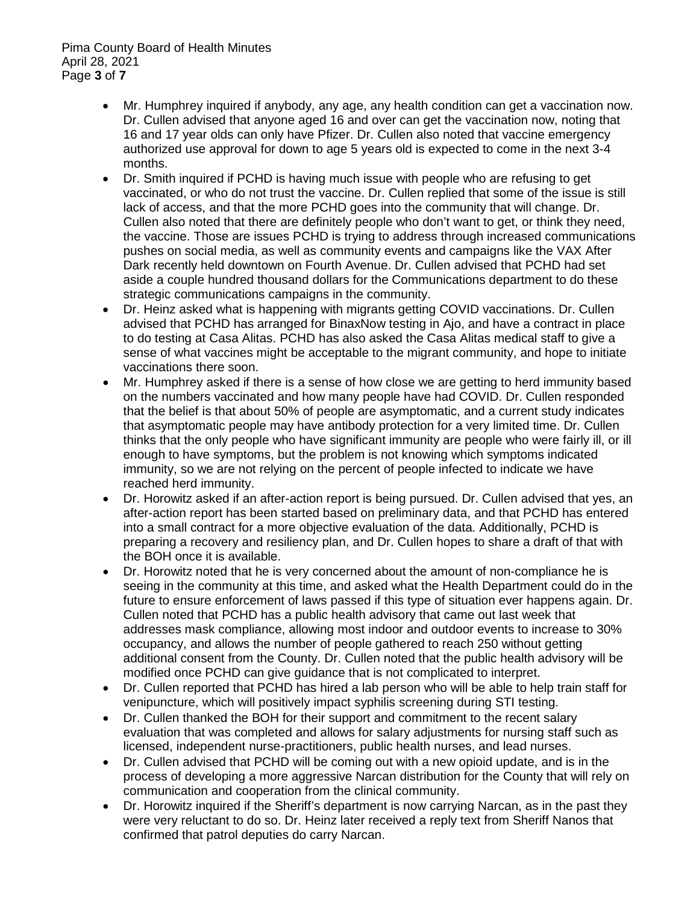- Mr. Humphrey inquired if anybody, any age, any health condition can get a vaccination now. Dr. Cullen advised that anyone aged 16 and over can get the vaccination now, noting that 16 and 17 year olds can only have Pfizer. Dr. Cullen also noted that vaccine emergency authorized use approval for down to age 5 years old is expected to come in the next 3-4 months.
- Dr. Smith inquired if PCHD is having much issue with people who are refusing to get vaccinated, or who do not trust the vaccine. Dr. Cullen replied that some of the issue is still lack of access, and that the more PCHD goes into the community that will change. Dr. Cullen also noted that there are definitely people who don't want to get, or think they need, the vaccine. Those are issues PCHD is trying to address through increased communications pushes on social media, as well as community events and campaigns like the VAX After Dark recently held downtown on Fourth Avenue. Dr. Cullen advised that PCHD had set aside a couple hundred thousand dollars for the Communications department to do these strategic communications campaigns in the community.
- Dr. Heinz asked what is happening with migrants getting COVID vaccinations. Dr. Cullen advised that PCHD has arranged for BinaxNow testing in Ajo, and have a contract in place to do testing at Casa Alitas. PCHD has also asked the Casa Alitas medical staff to give a sense of what vaccines might be acceptable to the migrant community, and hope to initiate vaccinations there soon.
- Mr. Humphrey asked if there is a sense of how close we are getting to herd immunity based on the numbers vaccinated and how many people have had COVID. Dr. Cullen responded that the belief is that about 50% of people are asymptomatic, and a current study indicates that asymptomatic people may have antibody protection for a very limited time. Dr. Cullen thinks that the only people who have significant immunity are people who were fairly ill, or ill enough to have symptoms, but the problem is not knowing which symptoms indicated immunity, so we are not relying on the percent of people infected to indicate we have reached herd immunity.
- Dr. Horowitz asked if an after-action report is being pursued. Dr. Cullen advised that yes, an after-action report has been started based on preliminary data, and that PCHD has entered into a small contract for a more objective evaluation of the data. Additionally, PCHD is preparing a recovery and resiliency plan, and Dr. Cullen hopes to share a draft of that with the BOH once it is available.
- Dr. Horowitz noted that he is very concerned about the amount of non-compliance he is seeing in the community at this time, and asked what the Health Department could do in the future to ensure enforcement of laws passed if this type of situation ever happens again. Dr. Cullen noted that PCHD has a public health advisory that came out last week that addresses mask compliance, allowing most indoor and outdoor events to increase to 30% occupancy, and allows the number of people gathered to reach 250 without getting additional consent from the County. Dr. Cullen noted that the public health advisory will be modified once PCHD can give guidance that is not complicated to interpret.
- Dr. Cullen reported that PCHD has hired a lab person who will be able to help train staff for venipuncture, which will positively impact syphilis screening during STI testing.
- Dr. Cullen thanked the BOH for their support and commitment to the recent salary evaluation that was completed and allows for salary adjustments for nursing staff such as licensed, independent nurse-practitioners, public health nurses, and lead nurses.
- Dr. Cullen advised that PCHD will be coming out with a new opioid update, and is in the process of developing a more aggressive Narcan distribution for the County that will rely on communication and cooperation from the clinical community.
- Dr. Horowitz inquired if the Sheriff's department is now carrying Narcan, as in the past they were very reluctant to do so. Dr. Heinz later received a reply text from Sheriff Nanos that confirmed that patrol deputies do carry Narcan.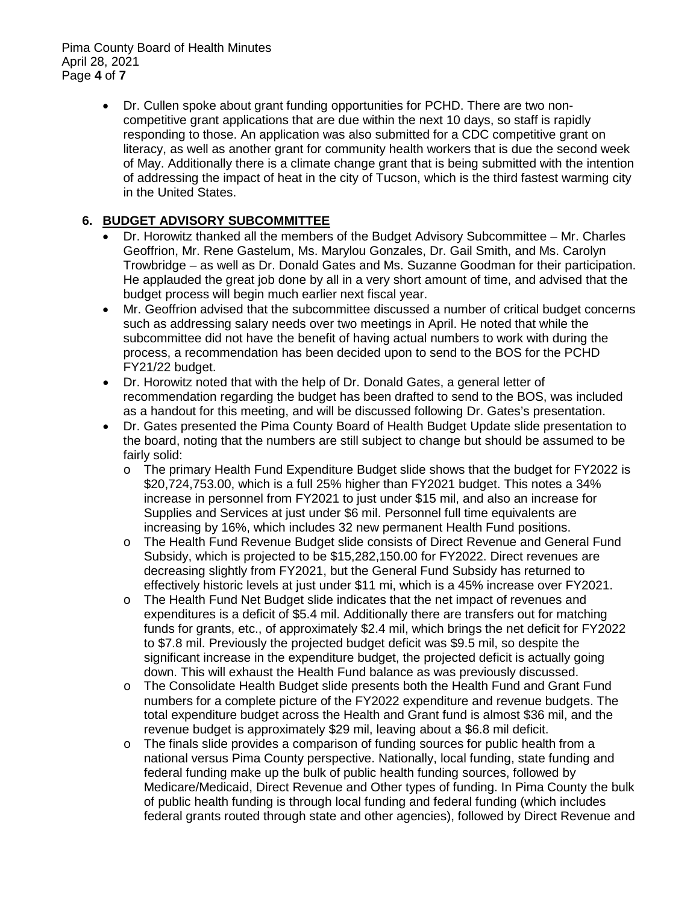• Dr. Cullen spoke about grant funding opportunities for PCHD. There are two noncompetitive grant applications that are due within the next 10 days, so staff is rapidly responding to those. An application was also submitted for a CDC competitive grant on literacy, as well as another grant for community health workers that is due the second week of May. Additionally there is a climate change grant that is being submitted with the intention of addressing the impact of heat in the city of Tucson, which is the third fastest warming city in the United States.

# **6. BUDGET ADVISORY SUBCOMMITTEE**

- Dr. Horowitz thanked all the members of the Budget Advisory Subcommittee Mr. Charles Geoffrion, Mr. Rene Gastelum, Ms. Marylou Gonzales, Dr. Gail Smith, and Ms. Carolyn Trowbridge – as well as Dr. Donald Gates and Ms. Suzanne Goodman for their participation. He applauded the great job done by all in a very short amount of time, and advised that the budget process will begin much earlier next fiscal year.
- Mr. Geoffrion advised that the subcommittee discussed a number of critical budget concerns such as addressing salary needs over two meetings in April. He noted that while the subcommittee did not have the benefit of having actual numbers to work with during the process, a recommendation has been decided upon to send to the BOS for the PCHD FY21/22 budget.
- Dr. Horowitz noted that with the help of Dr. Donald Gates, a general letter of recommendation regarding the budget has been drafted to send to the BOS, was included as a handout for this meeting, and will be discussed following Dr. Gates's presentation.
- Dr. Gates presented the Pima County Board of Health Budget Update slide presentation to the board, noting that the numbers are still subject to change but should be assumed to be fairly solid:
	- o The primary Health Fund Expenditure Budget slide shows that the budget for FY2022 is \$20,724,753.00, which is a full 25% higher than FY2021 budget. This notes a 34% increase in personnel from FY2021 to just under \$15 mil, and also an increase for Supplies and Services at just under \$6 mil. Personnel full time equivalents are increasing by 16%, which includes 32 new permanent Health Fund positions.
	- o The Health Fund Revenue Budget slide consists of Direct Revenue and General Fund Subsidy, which is projected to be \$15,282,150.00 for FY2022. Direct revenues are decreasing slightly from FY2021, but the General Fund Subsidy has returned to effectively historic levels at just under \$11 mi, which is a 45% increase over FY2021.
	- o The Health Fund Net Budget slide indicates that the net impact of revenues and expenditures is a deficit of \$5.4 mil. Additionally there are transfers out for matching funds for grants, etc., of approximately \$2.4 mil, which brings the net deficit for FY2022 to \$7.8 mil. Previously the projected budget deficit was \$9.5 mil, so despite the significant increase in the expenditure budget, the projected deficit is actually going down. This will exhaust the Health Fund balance as was previously discussed.
	- o The Consolidate Health Budget slide presents both the Health Fund and Grant Fund numbers for a complete picture of the FY2022 expenditure and revenue budgets. The total expenditure budget across the Health and Grant fund is almost \$36 mil, and the revenue budget is approximately \$29 mil, leaving about a \$6.8 mil deficit.
	- o The finals slide provides a comparison of funding sources for public health from a national versus Pima County perspective. Nationally, local funding, state funding and federal funding make up the bulk of public health funding sources, followed by Medicare/Medicaid, Direct Revenue and Other types of funding. In Pima County the bulk of public health funding is through local funding and federal funding (which includes federal grants routed through state and other agencies), followed by Direct Revenue and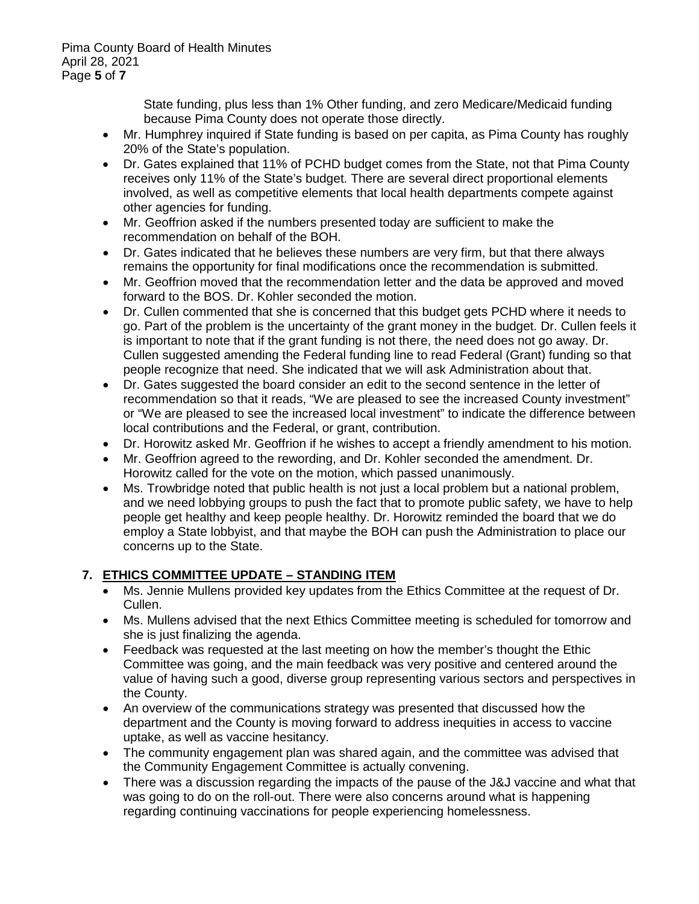State funding, plus less than 1% Other funding, and zero Medicare/Medicaid funding because Pima County does not operate those directly.

- Mr. Humphrey inquired if State funding is based on per capita, as Pima County has roughly 20% of the State's population.
- Dr. Gates explained that 11% of PCHD budget comes from the State, not that Pima County receives only 11% of the State's budget. There are several direct proportional elements involved, as well as competitive elements that local health departments compete against other agencies for funding.
- Mr. Geoffrion asked if the numbers presented today are sufficient to make the recommendation on behalf of the BOH.
- Dr. Gates indicated that he believes these numbers are very firm, but that there always remains the opportunity for final modifications once the recommendation is submitted.
- Mr. Geoffrion moved that the recommendation letter and the data be approved and moved forward to the BOS. Dr. Kohler seconded the motion.
- Dr. Cullen commented that she is concerned that this budget gets PCHD where it needs to go. Part of the problem is the uncertainty of the grant money in the budget. Dr. Cullen feels it is important to note that if the grant funding is not there, the need does not go away. Dr. Cullen suggested amending the Federal funding line to read Federal (Grant) funding so that people recognize that need. She indicated that we will ask Administration about that.
- Dr. Gates suggested the board consider an edit to the second sentence in the letter of recommendation so that it reads, "We are pleased to see the increased County investment" or "We are pleased to see the increased local investment" to indicate the difference between local contributions and the Federal, or grant, contribution.
- Dr. Horowitz asked Mr. Geoffrion if he wishes to accept a friendly amendment to his motion.
- Mr. Geoffrion agreed to the rewording, and Dr. Kohler seconded the amendment. Dr. Horowitz called for the vote on the motion, which passed unanimously.
- Ms. Trowbridge noted that public health is not just a local problem but a national problem, and we need lobbying groups to push the fact that to promote public safety, we have to help people get healthy and keep people healthy. Dr. Horowitz reminded the board that we do employ a State lobbyist, and that maybe the BOH can push the Administration to place our concerns up to the State.

# **7. ETHICS COMMITTEE UPDATE – STANDING ITEM**

- Ms. Jennie Mullens provided key updates from the Ethics Committee at the request of Dr. Cullen.
- Ms. Mullens advised that the next Ethics Committee meeting is scheduled for tomorrow and she is just finalizing the agenda.
- Feedback was requested at the last meeting on how the member's thought the Ethic Committee was going, and the main feedback was very positive and centered around the value of having such a good, diverse group representing various sectors and perspectives in the County.
- An overview of the communications strategy was presented that discussed how the department and the County is moving forward to address inequities in access to vaccine uptake, as well as vaccine hesitancy.
- The community engagement plan was shared again, and the committee was advised that the Community Engagement Committee is actually convening.
- There was a discussion regarding the impacts of the pause of the J&J vaccine and what that was going to do on the roll-out. There were also concerns around what is happening regarding continuing vaccinations for people experiencing homelessness.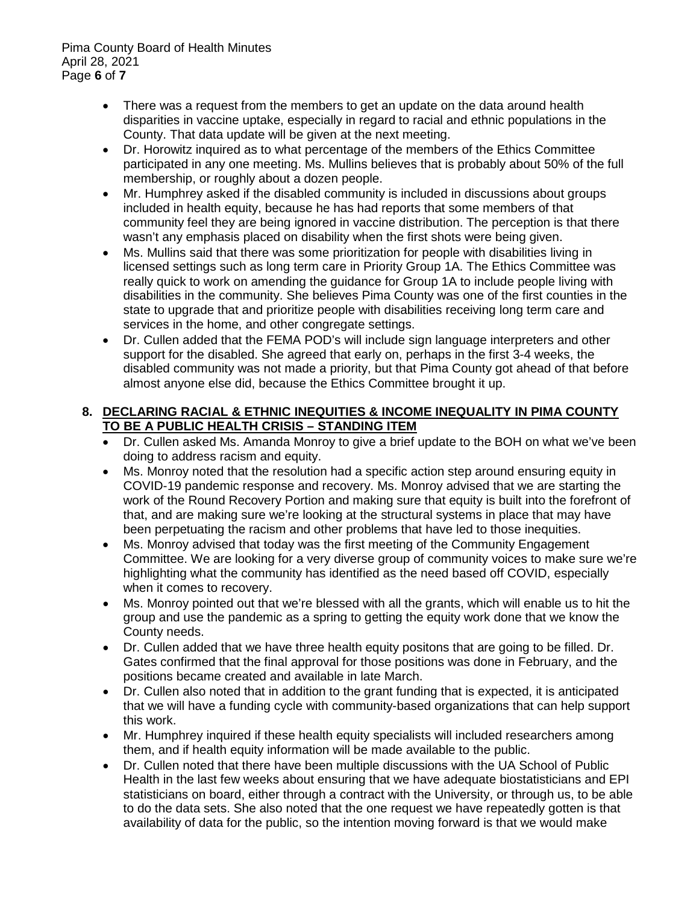Pima County Board of Health Minutes April 28, 2021 Page **6** of **7**

- There was a request from the members to get an update on the data around health disparities in vaccine uptake, especially in regard to racial and ethnic populations in the County. That data update will be given at the next meeting.
- Dr. Horowitz inquired as to what percentage of the members of the Ethics Committee participated in any one meeting. Ms. Mullins believes that is probably about 50% of the full membership, or roughly about a dozen people.
- Mr. Humphrey asked if the disabled community is included in discussions about groups included in health equity, because he has had reports that some members of that community feel they are being ignored in vaccine distribution. The perception is that there wasn't any emphasis placed on disability when the first shots were being given.
- Ms. Mullins said that there was some prioritization for people with disabilities living in licensed settings such as long term care in Priority Group 1A. The Ethics Committee was really quick to work on amending the guidance for Group 1A to include people living with disabilities in the community. She believes Pima County was one of the first counties in the state to upgrade that and prioritize people with disabilities receiving long term care and services in the home, and other congregate settings.
- Dr. Cullen added that the FEMA POD's will include sign language interpreters and other support for the disabled. She agreed that early on, perhaps in the first 3-4 weeks, the disabled community was not made a priority, but that Pima County got ahead of that before almost anyone else did, because the Ethics Committee brought it up.

### **8. DECLARING RACIAL & ETHNIC INEQUITIES & INCOME INEQUALITY IN PIMA COUNTY TO BE A PUBLIC HEALTH CRISIS – STANDING ITEM**

- Dr. Cullen asked Ms. Amanda Monroy to give a brief update to the BOH on what we've been doing to address racism and equity.
- Ms. Monroy noted that the resolution had a specific action step around ensuring equity in COVID-19 pandemic response and recovery. Ms. Monroy advised that we are starting the work of the Round Recovery Portion and making sure that equity is built into the forefront of that, and are making sure we're looking at the structural systems in place that may have been perpetuating the racism and other problems that have led to those inequities.
- Ms. Monroy advised that today was the first meeting of the Community Engagement Committee. We are looking for a very diverse group of community voices to make sure we're highlighting what the community has identified as the need based off COVID, especially when it comes to recovery.
- Ms. Monroy pointed out that we're blessed with all the grants, which will enable us to hit the group and use the pandemic as a spring to getting the equity work done that we know the County needs.
- Dr. Cullen added that we have three health equity positons that are going to be filled. Dr. Gates confirmed that the final approval for those positions was done in February, and the positions became created and available in late March.
- Dr. Cullen also noted that in addition to the grant funding that is expected, it is anticipated that we will have a funding cycle with community-based organizations that can help support this work.
- Mr. Humphrey inquired if these health equity specialists will included researchers among them, and if health equity information will be made available to the public.
- Dr. Cullen noted that there have been multiple discussions with the UA School of Public Health in the last few weeks about ensuring that we have adequate biostatisticians and EPI statisticians on board, either through a contract with the University, or through us, to be able to do the data sets. She also noted that the one request we have repeatedly gotten is that availability of data for the public, so the intention moving forward is that we would make